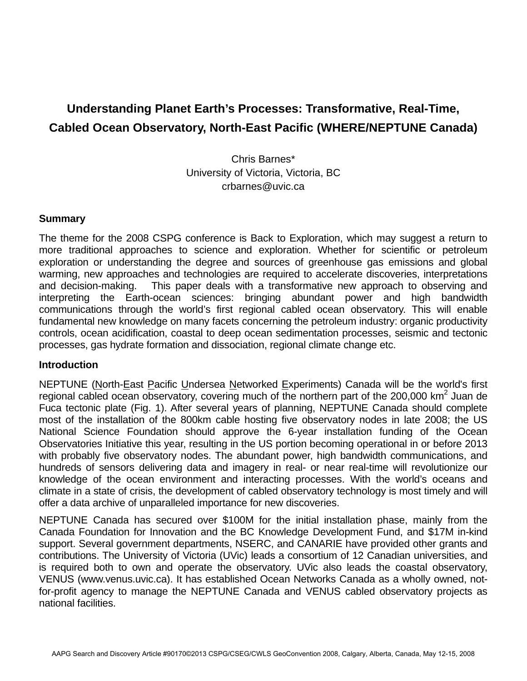# **Understanding Planet Earth's Processes: Transformative, Real-Time, Cabled Ocean Observatory, North-East Pacific (WHERE/NEPTUNE Canada)**

Chris Barnes\* University of Victoria, Victoria, BC crbarnes@uvic.ca

### **Summary**

The theme for the 2008 CSPG conference is Back to Exploration, which may suggest a return to more traditional approaches to science and exploration. Whether for scientific or petroleum exploration or understanding the degree and sources of greenhouse gas emissions and global warming, new approaches and technologies are required to accelerate discoveries, interpretations and decision-making. This paper deals with a transformative new approach to observing and interpreting the Earth-ocean sciences: bringing abundant power and high bandwidth communications through the world's first regional cabled ocean observatory. This will enable fundamental new knowledge on many facets concerning the petroleum industry: organic productivity controls, ocean acidification, coastal to deep ocean sedimentation processes, seismic and tectonic processes, gas hydrate formation and dissociation, regional climate change etc.

#### **Introduction**

NEPTUNE (North-East Pacific Undersea Networked Experiments) Canada will be the world's first regional cabled ocean observatory, covering much of the northern part of the 200,000 km<sup>2</sup> Juan de Fuca tectonic plate (Fig. 1). After several years of planning, NEPTUNE Canada should complete most of the installation of the 800km cable hosting five observatory nodes in late 2008; the US National Science Foundation should approve the 6-year installation funding of the Ocean Observatories Initiative this year, resulting in the US portion becoming operational in or before 2013 with probably five observatory nodes. The abundant power, high bandwidth communications, and hundreds of sensors delivering data and imagery in real- or near real-time will revolutionize our knowledge of the ocean environment and interacting processes. With the world's oceans and climate in a state of crisis, the development of cabled observatory technology is most timely and will offer a data archive of unparalleled importance for new discoveries.

NEPTUNE Canada has secured over \$100M for the initial installation phase, mainly from the Canada Foundation for Innovation and the BC Knowledge Development Fund, and \$17M in-kind support. Several government departments, NSERC, and CANARIE have provided other grants and contributions. The University of Victoria (UVic) leads a consortium of 12 Canadian universities, and is required both to own and operate the observatory. UVic also leads the coastal observatory, VENUS (www.venus.uvic.ca). It has established Ocean Networks Canada as a wholly owned, notfor-profit agency to manage the NEPTUNE Canada and VENUS cabled observatory projects as national facilities.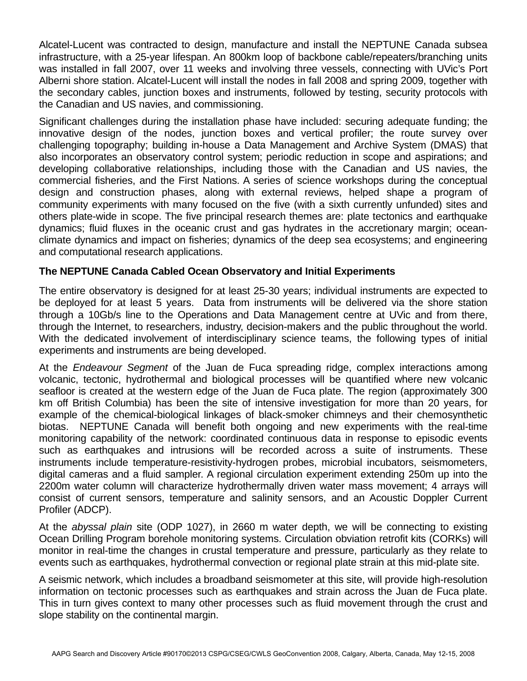Alcatel-Lucent was contracted to design, manufacture and install the NEPTUNE Canada subsea infrastructure, with a 25-year lifespan. An 800km loop of backbone cable/repeaters/branching units was installed in fall 2007, over 11 weeks and involving three vessels, connecting with UVic's Port Alberni shore station. Alcatel-Lucent will install the nodes in fall 2008 and spring 2009, together with the secondary cables, junction boxes and instruments, followed by testing, security protocols with the Canadian and US navies, and commissioning.

Significant challenges during the installation phase have included: securing adequate funding; the innovative design of the nodes, junction boxes and vertical profiler; the route survey over challenging topography; building in-house a Data Management and Archive System (DMAS) that also incorporates an observatory control system; periodic reduction in scope and aspirations; and developing collaborative relationships, including those with the Canadian and US navies, the commercial fisheries, and the First Nations. A series of science workshops during the conceptual design and construction phases, along with external reviews, helped shape a program of community experiments with many focused on the five (with a sixth currently unfunded) sites and others plate-wide in scope. The five principal research themes are: plate tectonics and earthquake dynamics; fluid fluxes in the oceanic crust and gas hydrates in the accretionary margin; oceanclimate dynamics and impact on fisheries; dynamics of the deep sea ecosystems; and engineering and computational research applications.

## **The NEPTUNE Canada Cabled Ocean Observatory and Initial Experiments**

The entire observatory is designed for at least 25-30 years; individual instruments are expected to be deployed for at least 5 years. Data from instruments will be delivered via the shore station through a 10Gb/s line to the Operations and Data Management centre at UVic and from there, through the Internet, to researchers, industry, decision-makers and the public throughout the world. With the dedicated involvement of interdisciplinary science teams, the following types of initial experiments and instruments are being developed.

At the *Endeavour Segment* of the Juan de Fuca spreading ridge, complex interactions among volcanic, tectonic, hydrothermal and biological processes will be quantified where new volcanic seafloor is created at the western edge of the Juan de Fuca plate. The region (approximately 300 km off British Columbia) has been the site of intensive investigation for more than 20 years, for example of the chemical-biological linkages of black-smoker chimneys and their chemosynthetic biotas. NEPTUNE Canada will benefit both ongoing and new experiments with the real-time monitoring capability of the network: coordinated continuous data in response to episodic events such as earthquakes and intrusions will be recorded across a suite of instruments. These instruments include temperature-resistivity-hydrogen probes, microbial incubators, seismometers, digital cameras and a fluid sampler. A regional circulation experiment extending 250m up into the 2200m water column will characterize hydrothermally driven water mass movement; 4 arrays will consist of current sensors, temperature and salinity sensors, and an Acoustic Doppler Current Profiler (ADCP).

At the *abyssal plain* site (ODP 1027), in 2660 m water depth, we will be connecting to existing Ocean Drilling Program borehole monitoring systems. Circulation obviation retrofit kits (CORKs) will monitor in real-time the changes in crustal temperature and pressure, particularly as they relate to events such as earthquakes, hydrothermal convection or regional plate strain at this mid-plate site.

A seismic network, which includes a broadband seismometer at this site, will provide high-resolution information on tectonic processes such as earthquakes and strain across the Juan de Fuca plate. This in turn gives context to many other processes such as fluid movement through the crust and slope stability on the continental margin.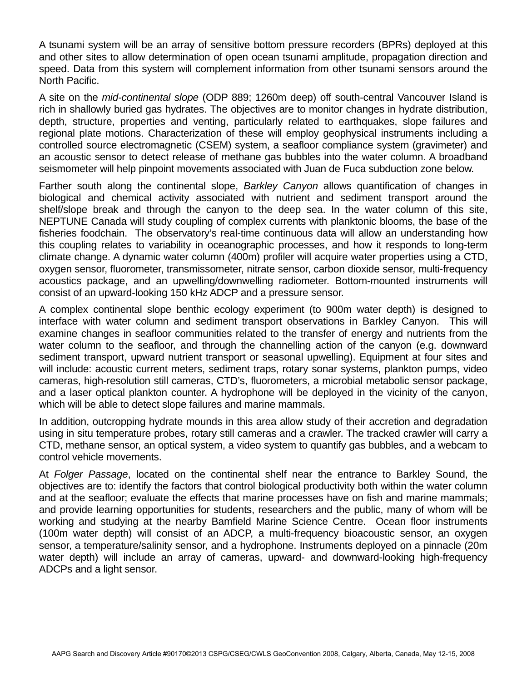A tsunami system will be an array of sensitive bottom pressure recorders (BPRs) deployed at this and other sites to allow determination of open ocean tsunami amplitude, propagation direction and speed. Data from this system will complement information from other tsunami sensors around the North Pacific.

A site on the *mid-continental slope* (ODP 889; 1260m deep) off south-central Vancouver Island is rich in shallowly buried gas hydrates. The objectives are to monitor changes in hydrate distribution, depth, structure, properties and venting, particularly related to earthquakes, slope failures and regional plate motions. Characterization of these will employ geophysical instruments including a controlled source electromagnetic (CSEM) system, a seafloor compliance system (gravimeter) and an acoustic sensor to detect release of methane gas bubbles into the water column. A broadband seismometer will help pinpoint movements associated with Juan de Fuca subduction zone below.

Farther south along the continental slope, *Barkley Canyon* allows quantification of changes in biological and chemical activity associated with nutrient and sediment transport around the shelf/slope break and through the canyon to the deep sea. In the water column of this site, NEPTUNE Canada will study coupling of complex currents with planktonic blooms, the base of the fisheries foodchain. The observatory's real-time continuous data will allow an understanding how this coupling relates to variability in oceanographic processes, and how it responds to long-term climate change. A dynamic water column (400m) profiler will acquire water properties using a CTD, oxygen sensor, fluorometer, transmissometer, nitrate sensor, carbon dioxide sensor, multi-frequency acoustics package, and an upwelling/downwelling radiometer. Bottom-mounted instruments will consist of an upward-looking 150 kHz ADCP and a pressure sensor.

A complex continental slope benthic ecology experiment (to 900m water depth) is designed to interface with water column and sediment transport observations in Barkley Canyon. This will examine changes in seafloor communities related to the transfer of energy and nutrients from the water column to the seafloor, and through the channelling action of the canyon (e.g. downward sediment transport, upward nutrient transport or seasonal upwelling). Equipment at four sites and will include: acoustic current meters, sediment traps, rotary sonar systems, plankton pumps, video cameras, high-resolution still cameras, CTD's, fluorometers, a microbial metabolic sensor package, and a laser optical plankton counter. A hydrophone will be deployed in the vicinity of the canyon, which will be able to detect slope failures and marine mammals.

In addition, outcropping hydrate mounds in this area allow study of their accretion and degradation using in situ temperature probes, rotary still cameras and a crawler. The tracked crawler will carry a CTD, methane sensor, an optical system, a video system to quantify gas bubbles, and a webcam to control vehicle movements.

At *Folger Passage*, located on the continental shelf near the entrance to Barkley Sound, the objectives are to: identify the factors that control biological productivity both within the water column and at the seafloor; evaluate the effects that marine processes have on fish and marine mammals; and provide learning opportunities for students, researchers and the public, many of whom will be working and studying at the nearby Bamfield Marine Science Centre. Ocean floor instruments (100m water depth) will consist of an ADCP, a multi-frequency bioacoustic sensor, an oxygen sensor, a temperature/salinity sensor, and a hydrophone. Instruments deployed on a pinnacle (20m water depth) will include an array of cameras, upward- and downward-looking high-frequency ADCPs and a light sensor.